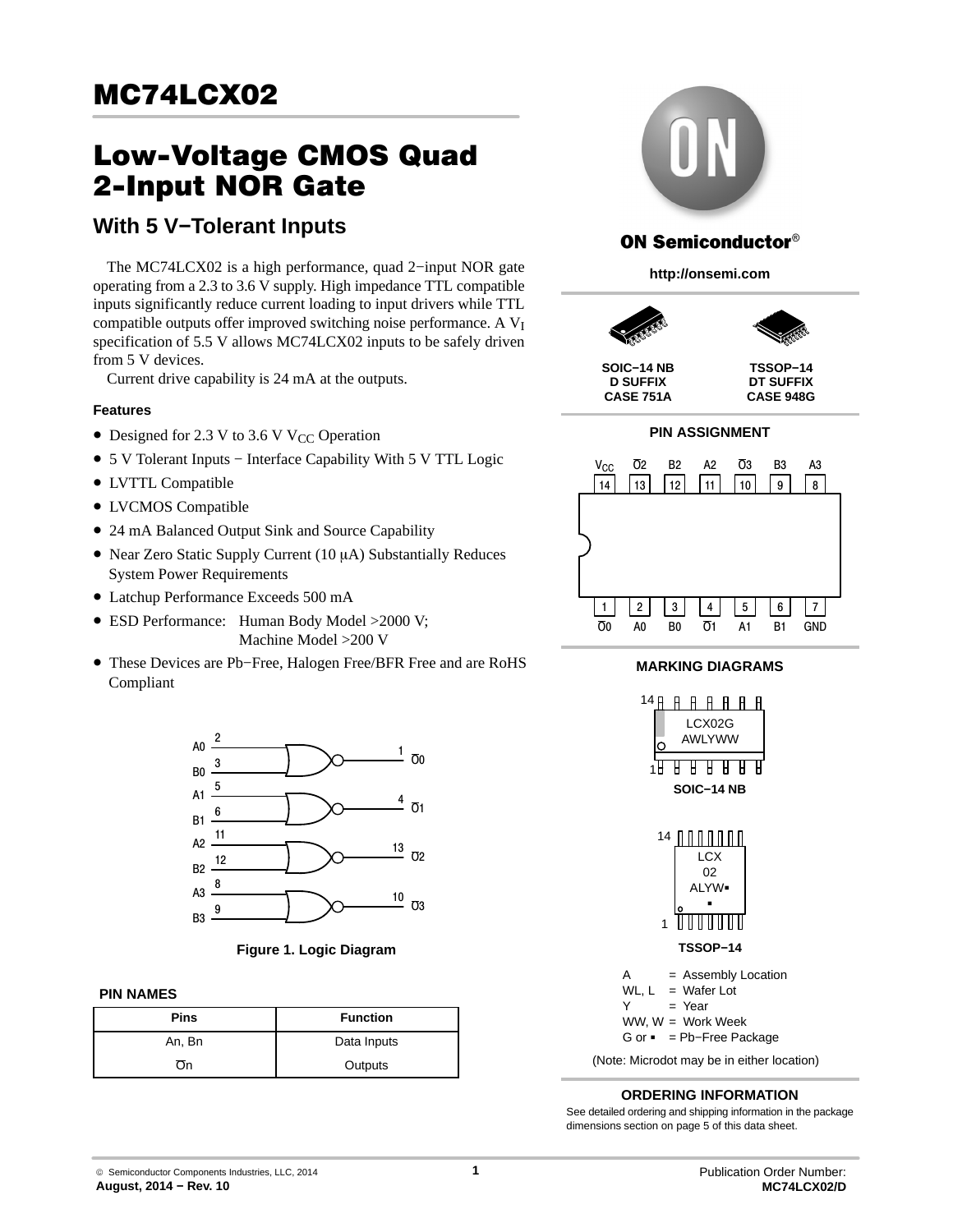# Low-Voltage CMOS Quad 2-Input NOR Gate

# **With 5 V−Tolerant Inputs**

The MC74LCX02 is a high performance, quad 2−input NOR gate operating from a 2.3 to 3.6 V supply. High impedance TTL compatible inputs significantly reduce current loading to input drivers while TTL compatible outputs offer improved switching noise performance. A V<sub>I</sub> specification of 5.5 V allows MC74LCX02 inputs to be safely driven from 5 V devices.

Current drive capability is 24 mA at the outputs.

#### **Features**

- Designed for 2.3 V to 3.6 V V<sub>CC</sub> Operation
- 5 V Tolerant Inputs − Interface Capability With 5 V TTL Logic
- LVTTL Compatible
- LVCMOS Compatible
- 24 mA Balanced Output Sink and Source Capability
- Near Zero Static Supply Current (10 µA) Substantially Reduces System Power Requirements
- Latchup Performance Exceeds 500 mA
- ESD Performance: Human Body Model > 2000 V; Machine Model >200 V
- These Devices are Pb−Free, Halogen Free/BFR Free and are RoHS Compliant



**Figure 1. Logic Diagram**

#### **PIN NAMES**

| Pins   | <b>Function</b> |
|--------|-----------------|
| An, Bn | Data Inputs     |
|        | Outputs         |



# **ON Semiconductor®**

**http://onsemi.com**



**SOIC−14 NB D SUFFIX CASE 751A**

**TSSOP−14 DT SUFFIX CASE 948G**

**PIN ASSIGNMENT**



#### **MARKING DIAGRAMS**





A = Assembly Location WL,  $L = W$ afer Lot  $Y = Year$ WW, W = Work Week G or - = Pb−Free Package

(Note: Microdot may be in either location)

#### **ORDERING INFORMATION**

See detailed ordering and shipping information in the package dimensions section on page [5](#page-4-0) of this data sheet.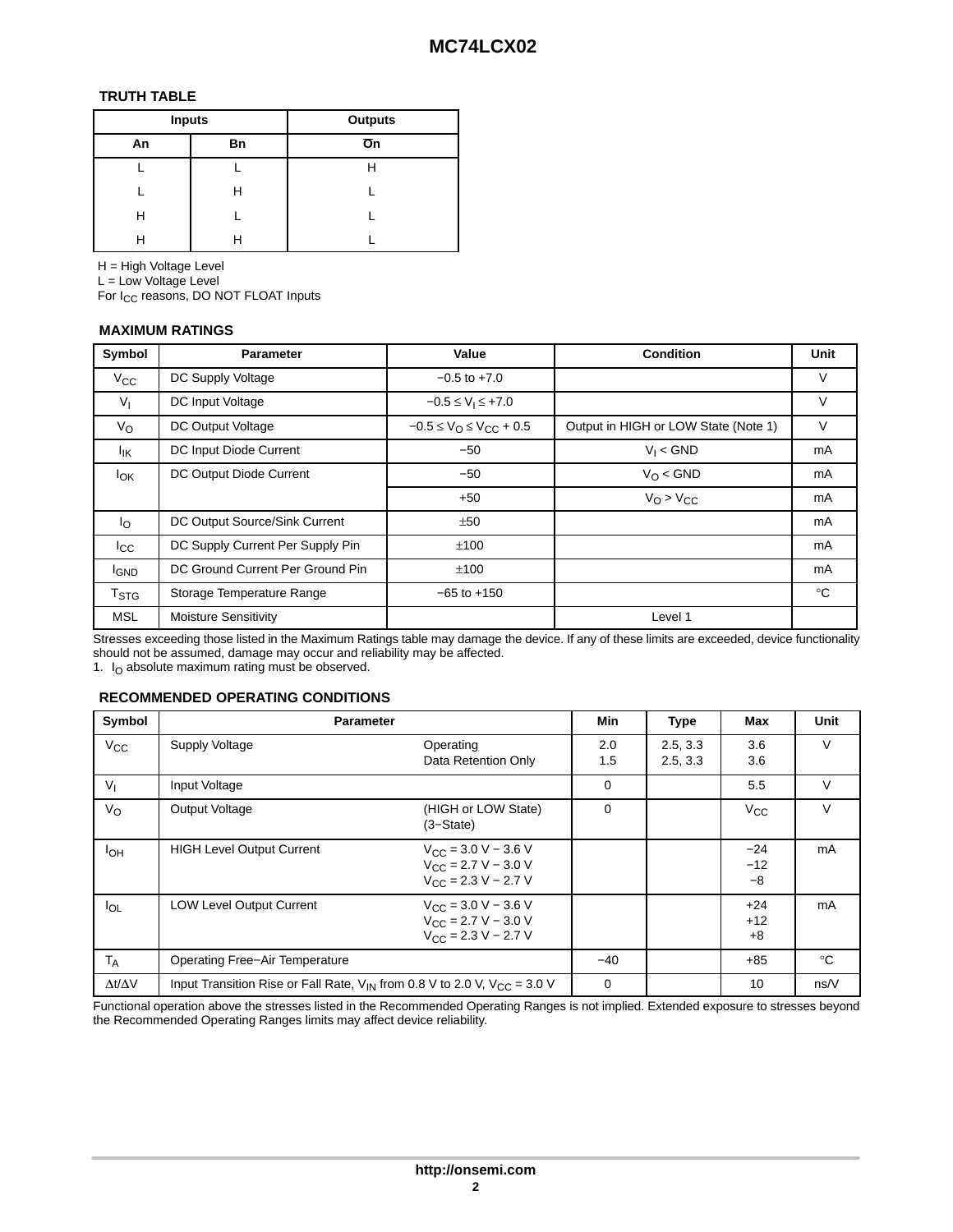#### **TRUTH TABLE**

| <b>Inputs</b> |    | <b>Outputs</b>  |
|---------------|----|-----------------|
| An            | Bn | $\overline{O}n$ |
|               |    | H               |
|               | н  |                 |
| н             |    |                 |
| н             |    |                 |

H = High Voltage Level

L = Low Voltage Level

For I<sub>CC</sub> reasons, DO NOT FLOAT Inputs

## **MAXIMUM RATINGS**

| Symbol                 | <b>Parameter</b>                 | Value                                           | <b>Condition</b>                     | <b>Unit</b>  |
|------------------------|----------------------------------|-------------------------------------------------|--------------------------------------|--------------|
| $V_{\rm CC}$           | DC Supply Voltage                | $-0.5$ to $+7.0$                                |                                      | V            |
| V <sub>1</sub>         | DC Input Voltage                 | $-0.5 \le V_1 \le +7.0$                         |                                      | V            |
| $V_{\rm O}$            | DC Output Voltage                | $-0.5 \le V_{\text{O}} \le V_{\text{CC}} + 0.5$ | Output in HIGH or LOW State (Note 1) | V            |
| lικ                    | DC Input Diode Current           | $-50$                                           | $V_I <$ GND                          | mA           |
| lok                    | DC Output Diode Current          | $-50$                                           | $V_O <$ GND                          | mA           |
|                        |                                  | $+50$                                           | $V_O > V_{CC}$                       | mA           |
| $I_{\rm O}$            | DC Output Source/Sink Current    | ±50                                             |                                      | mA           |
| $_{\rm lcc}$           | DC Supply Current Per Supply Pin | ±100                                            |                                      | mA           |
| <b>IGND</b>            | DC Ground Current Per Ground Pin | ±100                                            |                                      | mA           |
| <b>T<sub>STG</sub></b> | Storage Temperature Range        | $-65$ to $+150$                                 |                                      | $^{\circ}$ C |
| <b>MSL</b>             | Moisture Sensitivity             |                                                 | Level 1                              |              |

Stresses exceeding those listed in the Maximum Ratings table may damage the device. If any of these limits are exceeded, device functionality should not be assumed, damage may occur and reliability may be affected.

1.  $I<sub>O</sub>$  absolute maximum rating must be observed.

#### **RECOMMENDED OPERATING CONDITIONS**

| Symbol              | <b>Parameter</b>                                                                   |                                                                                                                | Min        | <b>Type</b>          | Max                    | <b>Unit</b>  |
|---------------------|------------------------------------------------------------------------------------|----------------------------------------------------------------------------------------------------------------|------------|----------------------|------------------------|--------------|
| $V_{CC}$            | Supply Voltage<br>Operating                                                        | Data Retention Only                                                                                            | 2.0<br>1.5 | 2.5, 3.3<br>2.5, 3.3 | 3.6<br>3.6             | V            |
| $V_{1}$             | Input Voltage                                                                      |                                                                                                                | 0          |                      | 5.5                    | $\vee$       |
| V <sub>O</sub>      | Output Voltage<br>$(3 - State)$                                                    | (HIGH or LOW State)                                                                                            | $\Omega$   |                      | $V_{\rm CC}$           | V            |
| I <sub>OH</sub>     | <b>HIGH Level Output Current</b>                                                   | $V_{\text{CC}} = 3.0 \text{ V} - 3.6 \text{ V}$<br>$V_{\text{CC}} = 2.7 V - 3.0 V$<br>$V_{CC}$ = 2.3 V – 2.7 V |            |                      | $-24$<br>$-12$<br>$-8$ | mA           |
| $I_{OL}$            | <b>LOW Level Output Current</b>                                                    | $V_{\text{CC}} = 3.0 \text{ V} - 3.6 \text{ V}$<br>$V_{CC}$ = 2.7 V – 3.0 V<br>$V_{\text{CC}} = 2.3 V - 2.7 V$ |            |                      | $+24$<br>$+12$<br>$+8$ | mA           |
| $T_A$               | <b>Operating Free-Air Temperature</b>                                              |                                                                                                                | $-40$      |                      | $+85$                  | $^{\circ}$ C |
| $\Delta t/\Delta V$ | Input Transition Rise or Fall Rate, $V_{IN}$ from 0.8 V to 2.0 V, $V_{CC} = 3.0$ V |                                                                                                                | 0          |                      | 10                     | ns/V         |

Functional operation above the stresses listed in the Recommended Operating Ranges is not implied. Extended exposure to stresses beyond the Recommended Operating Ranges limits may affect device reliability.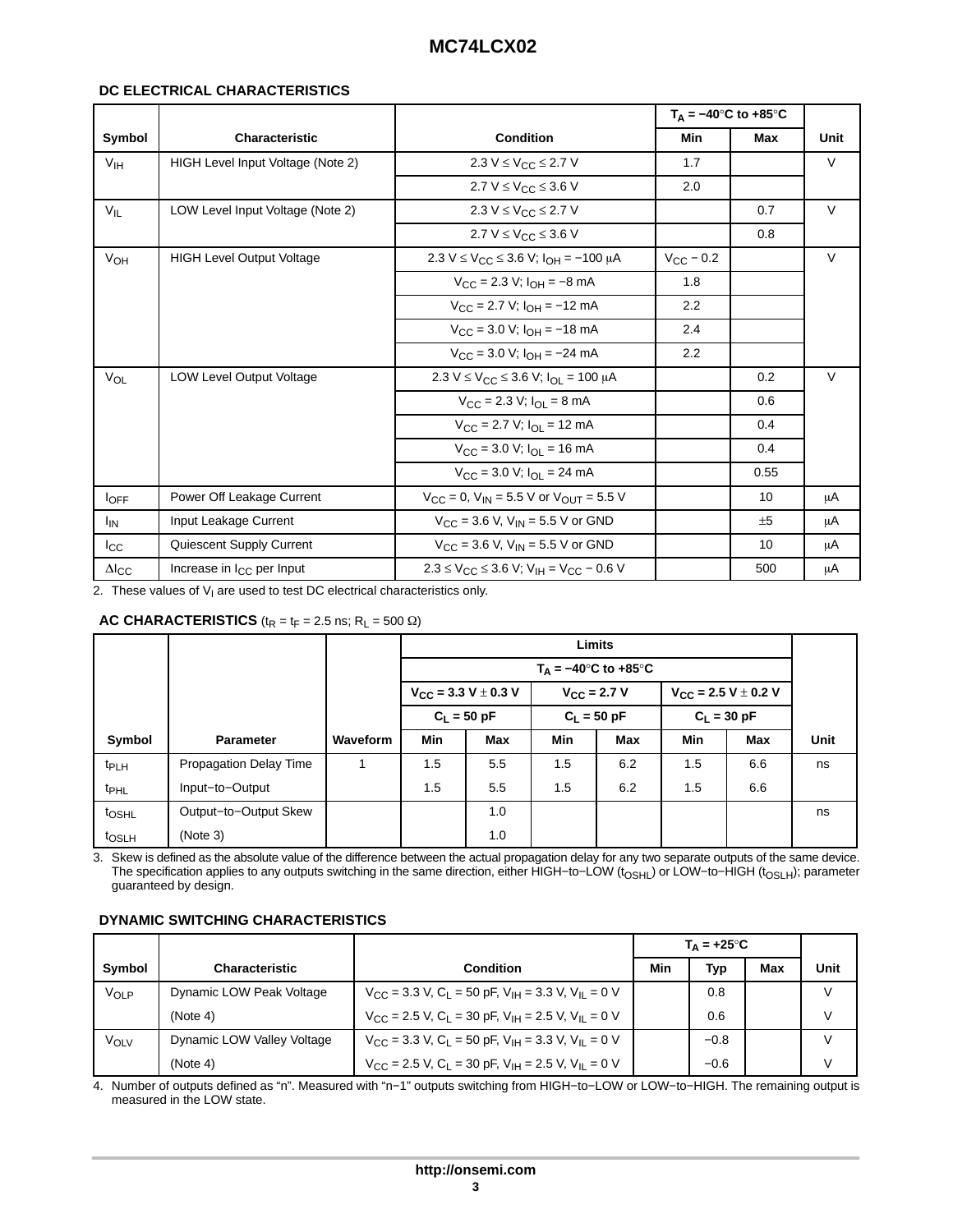#### **DC ELECTRICAL CHARACTERISTICS**

|                        |                                   |                                                                         | $T_A = -40^\circ \text{C}$ to +85°C |      |             |
|------------------------|-----------------------------------|-------------------------------------------------------------------------|-------------------------------------|------|-------------|
| Symbol                 | <b>Characteristic</b>             | <b>Condition</b>                                                        | Min                                 | Max  | <b>Unit</b> |
| V <sub>IH</sub>        | HIGH Level Input Voltage (Note 2) | 2.3 V ≤ V <sub>CC</sub> ≤ 2.7 V                                         | 1.7                                 |      | $\vee$      |
|                        |                                   | 2.7 $V \leq V_{CC} \leq 3.6 V$                                          | 2.0                                 |      |             |
| $V_{IL}$               | LOW Level Input Voltage (Note 2)  | $2.3 V \leq V_{CC} \leq 2.7 V$                                          |                                     | 0.7  | $\vee$      |
|                        |                                   | 2.7 $V \leq V_{CC} \leq 3.6 V$                                          |                                     | 0.8  |             |
| V <sub>OH</sub>        | <b>HIGH Level Output Voltage</b>  | $2.3 V \le V_{C}C \le 3.6 V$ ; $I_{OH} = -100 \mu A$                    | $V_{\text{CC}}$ – 0.2               |      | $\vee$      |
|                        |                                   | $V_{\text{CC}} = 2.3 \text{ V}$ ; $I_{\text{OH}} = -8 \text{ mA}$       | 1.8                                 |      |             |
|                        |                                   | $V_{\text{CC}} = 2.7 \text{ V}$ ; $I_{\text{OH}} = -12 \text{ mA}$      | 2.2                                 |      |             |
|                        |                                   | $V_{\text{CC}} = 3.0 \text{ V}$ ; $I_{\text{OH}} = -18 \text{ mA}$      | 2.4                                 |      |             |
|                        |                                   | $V_{\text{CC}} = 3.0 \text{ V}$ ; $I_{\text{OH}} = -24 \text{ mA}$      | 2.2                                 |      |             |
| $V_{OL}$               | <b>LOW Level Output Voltage</b>   | $2.3 V \le V_{\text{CC}} \le 3.6 V$ ; $I_{\text{OL}} = 100 \mu\text{A}$ |                                     | 0.2  | $\vee$      |
|                        |                                   | $V_{\text{CC}} = 2.3 \text{ V}; I_{\text{OL}} = 8 \text{ mA}$           |                                     | 0.6  |             |
|                        |                                   | $V_{\text{CC}}$ = 2.7 V; $I_{\text{OL}}$ = 12 mA                        |                                     | 0.4  |             |
|                        |                                   | $V_{CC}$ = 3.0 V; $I_{OL}$ = 16 mA                                      |                                     | 0.4  |             |
|                        |                                   | $V_{\text{CC}} = 3.0 \text{ V}; I_{\text{OL}} = 24 \text{ mA}$          |                                     | 0.55 |             |
| $I_{\text{OFF}}$       | Power Off Leakage Current         | $V_{CC} = 0$ , $V_{IN} = 5.5$ V or $V_{OUT} = 5.5$ V                    |                                     | 10   | μA          |
| <sup>I</sup> IN        | Input Leakage Current             | $V_{CC}$ = 3.6 V, V <sub>IN</sub> = 5.5 V or GND                        |                                     | ±5   | μA          |
| $_{\rm lcc}$           | Quiescent Supply Current          | $V_{\text{CC}} = 3.6$ V, $V_{\text{IN}} = 5.5$ V or GND                 |                                     | 10   | μA          |
| $\Delta I_{\text{CC}}$ | Increase in $I_{CC}$ per Input    | $2.3 \leq V_{\rm CC} \leq 3.6$ V; $V_{\rm IH} = V_{\rm CC} - 0.6$ V     |                                     | 500  | μA          |

2. These values of  $V_1$  are used to test DC electrical characteristics only.

### **AC CHARACTERISTICS** ( $t_R = t_F = 2.5$  ns;  $R_L = 500 \Omega$ )

|                   |                               |          |     |                              |                      | <b>Limits</b>                                      |            |                              |      |
|-------------------|-------------------------------|----------|-----|------------------------------|----------------------|----------------------------------------------------|------------|------------------------------|------|
|                   |                               |          |     |                              |                      | $T_A = -40^\circ \text{C}$ to $+85^\circ \text{C}$ |            |                              |      |
|                   |                               |          |     | $V_{CC}$ = 3.3 V $\pm$ 0.3 V | $V_{\rm CC}$ = 2.7 V |                                                    |            | $V_{CC}$ = 2.5 V $\pm$ 0.2 V |      |
|                   |                               |          |     | $C_1 = 50 pF$                |                      | $C_1 = 50 pF$                                      |            | $C_1 = 30 pF$                |      |
| Symbol            | <b>Parameter</b>              | Waveform | Min | Max                          | Min                  | <b>Max</b>                                         | <b>Min</b> | <b>Max</b>                   | Unit |
| t <sub>PLH</sub>  | <b>Propagation Delay Time</b> |          | 1.5 | 5.5                          | 1.5                  | 6.2                                                | 1.5        | 6.6                          | ns   |
| t <sub>PHL</sub>  | Input-to-Output               |          | 1.5 | 5.5                          | 1.5                  | 6.2                                                | 1.5        | 6.6                          |      |
| t <sub>OSHL</sub> | Output-to-Output Skew         |          |     | 1.0                          |                      |                                                    |            |                              | ns   |
| t <sub>OSLH</sub> | (Note 3)                      |          |     | 1.0                          |                      |                                                    |            |                              |      |

3. Skew is defined as the absolute value of the difference between the actual propagation delay for any two separate outputs of the same device. The specification applies to any outputs switching in the same direction, either HIGH-to-LOW (t<sub>OSHL</sub>) or LOW-to-HIGH (t<sub>OSLH</sub>); parameter guaranteed by design.

#### **DYNAMIC SWITCHING CHARACTERISTICS**

|                  |                            |                                                                                                 |     | $T_{\Delta} = +25^{\circ}C$ |     |        |
|------------------|----------------------------|-------------------------------------------------------------------------------------------------|-----|-----------------------------|-----|--------|
| Symbol           | <b>Characteristic</b>      | <b>Condition</b>                                                                                | Min | Typ                         | Max | Unit   |
| VOLP             | Dynamic LOW Peak Voltage   | $V_{\rm CC}$ = 3.3 V, C <sub>1</sub> = 50 pF, V <sub>IH</sub> = 3.3 V, V <sub>II</sub> = 0 V    |     | 0.8                         |     | $\vee$ |
|                  | (Note 4)                   | $V_{\text{CC}}$ = 2.5 V, C <sub>1</sub> = 30 pF, V <sub>IH</sub> = 2.5 V, V <sub>II</sub> = 0 V |     | 0.6                         |     | V      |
| ν <sub>οιν</sub> | Dynamic LOW Valley Voltage | $V_{\text{CC}}$ = 3.3 V, C <sub>1</sub> = 50 pF, V <sub>IH</sub> = 3.3 V, V <sub>II</sub> = 0 V |     | $-0.8$                      |     | $\vee$ |
|                  | (Note 4)                   | $V_{\rm CC}$ = 2.5 V, C <sub>1</sub> = 30 pF, V <sub>IH</sub> = 2.5 V, V <sub>II</sub> = 0 V    |     | $-0.6$                      |     | V      |

4. Number of outputs defined as "n". Measured with "n−1" outputs switching from HIGH−to−LOW or LOW−to−HIGH. The remaining output is measured in the LOW state.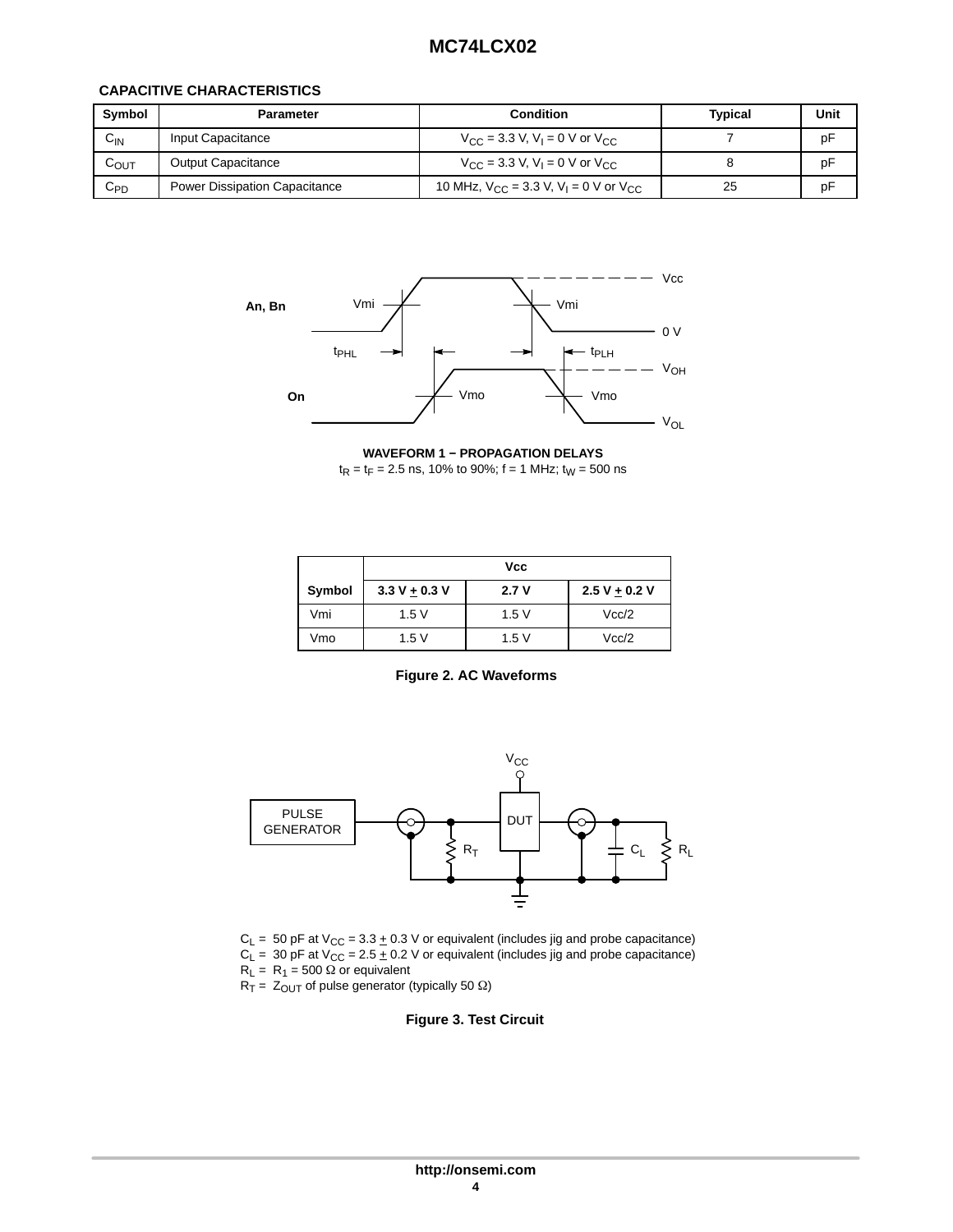#### **CAPACITIVE CHARACTERISTICS**

| Symbol    | <b>Parameter</b>                     | <b>Condition</b>                                                  | Typical | Unit |
|-----------|--------------------------------------|-------------------------------------------------------------------|---------|------|
| $C_{IN}$  | Input Capacitance                    | $V_{\rm CC}$ = 3.3 V, V <sub>1</sub> = 0 V or V <sub>CC</sub>     |         | pF   |
| $C_{OUT}$ | <b>Output Capacitance</b>            | $V_{\rm CC}$ = 3.3 V, V <sub>1</sub> = 0 V or V <sub>CC</sub>     |         | pF   |
| $C_{PD}$  | <b>Power Dissipation Capacitance</b> | 10 MHz, $V_{CC}$ = 3.3 V, V <sub>1</sub> = 0 V or V <sub>CC</sub> | 25      | pF   |



**WAVEFORM 1 − PROPAGATION DELAYS**

 $t_R = t_F = 2.5$  ns, 10% to 90%; f = 1 MHz;  $t_W = 500$  ns

|        |                 | Vcc  |                 |
|--------|-----------------|------|-----------------|
| Symbol | $3.3 V + 0.3 V$ | 2.7V | $2.5 V + 0.2 V$ |
| Vmi    | 1.5V            | 1.5V | Vcc/2           |
| Vmo    | 1.5V            | 1.5V | Vcc/2           |

**Figure 2. AC Waveforms**



 $C_L$  = 50 pF at V<sub>CC</sub> = 3.3  $\pm$  0.3 V or equivalent (includes jig and probe capacitance)  $C_L$  = 30 pF at V<sub>CC</sub> = 2.5  $\pm$  0.2 V or equivalent (includes jig and probe capacitance)  $R_L = R_1 = 500 \Omega$  or equivalent

 $R_T = Z_{OUT}$  of pulse generator (typically 50  $\Omega$ )

**Figure 3. Test Circuit**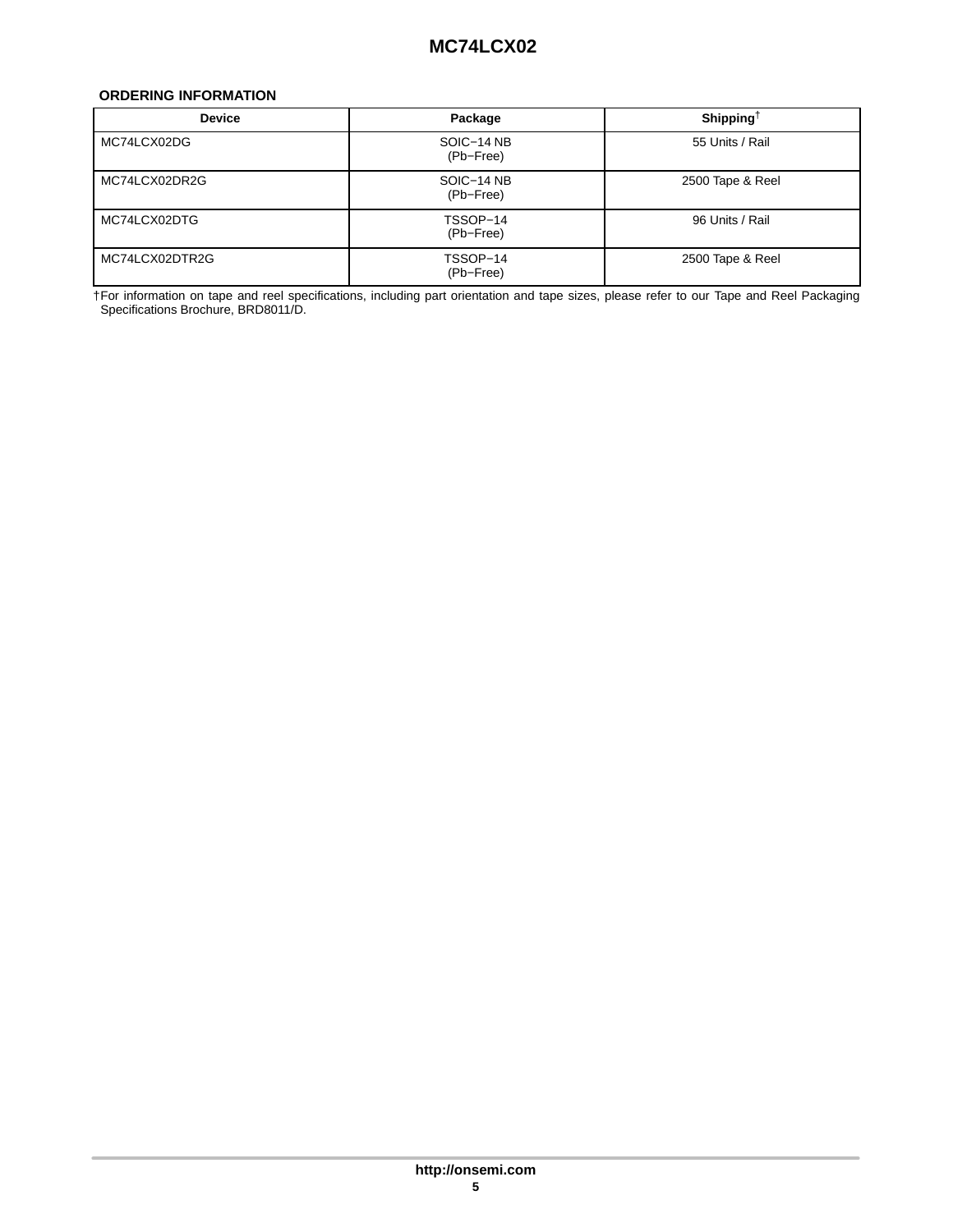#### <span id="page-4-0"></span>**ORDERING INFORMATION**

| <b>Device</b>  | Package                 | Shipping <sup><math>\dagger</math></sup> |
|----------------|-------------------------|------------------------------------------|
| MC74LCX02DG    | SOIC-14 NB<br>(Pb-Free) | 55 Units / Rail                          |
| MC74LCX02DR2G  | SOIC-14 NB<br>(Pb-Free) | 2500 Tape & Reel                         |
| MC74LCX02DTG   | TSSOP-14<br>(Pb-Free)   | 96 Units / Rail                          |
| MC74LCX02DTR2G | TSSOP-14<br>(Pb-Free)   | 2500 Tape & Reel                         |

†For information on tape and reel specifications, including part orientation and tape sizes, please refer to our Tape and Reel Packaging Specifications Brochure, BRD8011/D.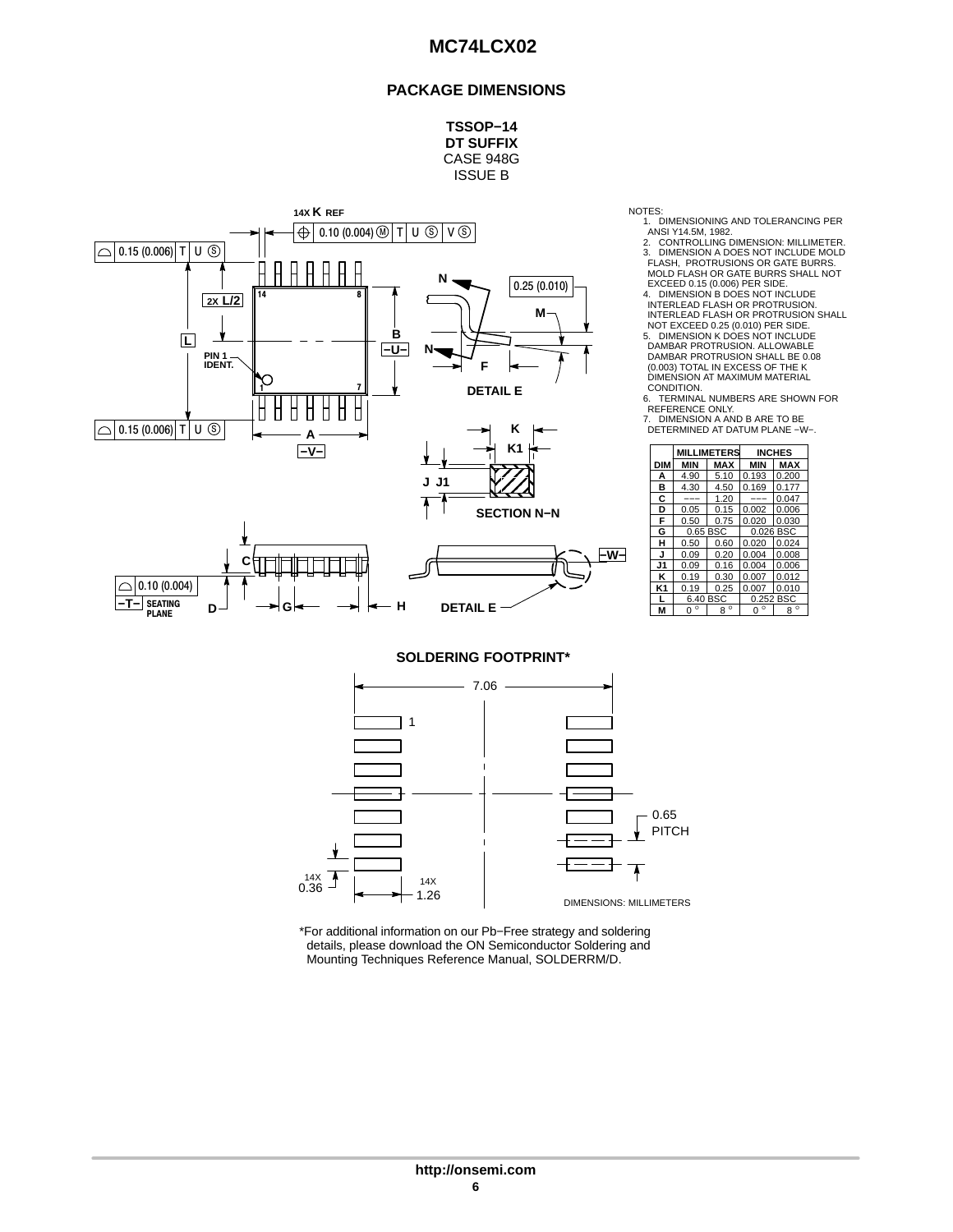#### **PACKAGE DIMENSIONS**

**TSSOP−14 DT SUFFIX** CASE 948G ISSUE B



NOTES:

1. DIMENSIONING AND TOLERANCING PER<br>ANSI Y14.5M, 1982.<br>2. CONTROLLING DIMENSION: MILLIMETER.<br>3. DIMENSION A DOES NOT INCLUDE MOLD<br>FLASH, PROTRUSIONS OR GATE BURRS.<br>MOLD FLASH OR GATE BURRS SHALL NOT<br>EXCEED 0.15 (0.006) PER

4. DIMENSION B DOES NOT INCLUDE INTERLEAD FLASH OR PROTRUSION. INTERLEAD FLASH OR PROTRUSION SHALL NOT EXCEED 0.25 (0.010) PER SIDE. 5. DIMENSION K DOES NOT INCLUDE DAMBAR PROTRUSION. ALLOWABLE

DAMBAR PROTRUSION SHALL BE 0.08 (0.003) TOTAL IN EXCESS OF THE K DIMENSION AT MAXIMUM MATERIAL

CONDITION.<br>6. TERMINAL NUMBERS ARE SHOWN FOR<br>REFERENCE ONLY.<br>7. DIMENSION A AND B ARE TO BE<br>DETERMINED AT DATUM PLANE −W−.

| K <sub>1</sub>     |                |                     | <b>MILLIMETERS</b> |             | <b>INCHES</b> |
|--------------------|----------------|---------------------|--------------------|-------------|---------------|
|                    | <b>DIM</b>     | MIN                 | <b>MAX</b>         | <b>MIN</b>  | <b>MAX</b>    |
|                    | А              | 4.90                | 5.10               | 0.193       | 0.200         |
|                    | в              | 4.30                | 4.50               | 0.169       | 0.177         |
|                    | c              | ---                 | 1.20               | ---         | 0.047         |
| <b>SECTION N-N</b> | D              | 0.05                | 0.15               | 0.002       | 0.006         |
|                    | F              | 0.50                | 0.75               | 0.020       | 0.030         |
|                    | G              | 0.65 BSC            |                    |             | 0.026 BSC     |
|                    | н              | 0.50                | 0.60               | 0.020       | 0.024         |
| –w–l               | J              | 0.09                | 0.20               | 0.004       | 0.008         |
|                    | J1             | 0.09                | 0.16               | 0.004       | 0.006         |
|                    | κ              | 0.19                | 0.30               | 0.007       | 0.012         |
|                    | K <sub>1</sub> | 0.19                | 0.25               | 0.007       | 0.010         |
|                    |                | 6.40 BSC            |                    |             | 0.252 BSC     |
| LΕ                 | M              | $\circ$<br>$\Omega$ | $8^{\circ}$        | $0^{\circ}$ | $8^{\circ}$   |

**SOLDERING FOOTPRINT\***



\*For additional information on our Pb−Free strategy and soldering details, please download the ON Semiconductor Soldering and Mounting Techniques Reference Manual, SOLDERRM/D.